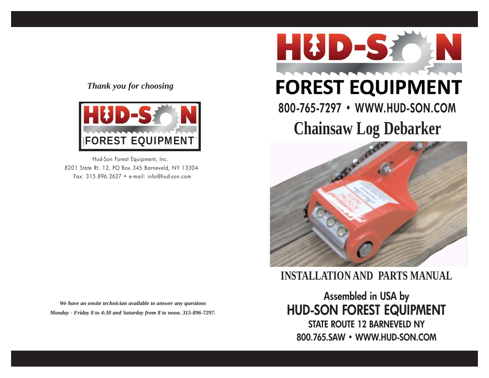#### *Thank you for choosing*



Hud-Son Forest Equipment, Inc. 8201 State Rt. 12, PO Box 345 Barneveld, NY 13304 Fax: 315.896.2627 • e-mail: info@hud-son.com

*We have an onsite technician available to answer any questions Monday - Friday 8 to 4:30 and Saturday from 8 to noon. 315-896-7297.*



# **FOREST EQUIPMENT**

# **Chainsaw Log Debarker 800-765-7297 • WWW.HUD-SON.COM**



**INSTALLATION AND PARTS MANUAL**

**Assembled in USA by HUD-SON FOREST EQUIPMENT STATE ROUTE 12 BARNEVELD NY 800.765.SAW • WWW.HUD-SON.COM**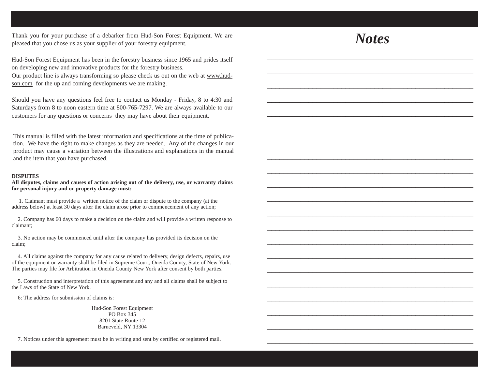Thank you for your purchase of a debarker from Hud-Son Forest Equipment. We are pleased that you chose us as your supplier of your forestry equipment.

Hud-Son Forest Equipment has been in the forestry business since 1965 and prides itself on developing new and innovative products for the forestry business.

Our product line is always transforming so please check us out on the web at www.hudson.com for the up and coming developments we are making.

Should you have any questions feel free to contact us Monday - Friday, 8 to 4:30 and Saturdays from 8 to noon eastern time at 800-765-7297. We are always available to our customers for any questions or concerns they may have about their equipment.

This manual is filled with the latest information and specifications at the time of publication. We have the right to make changes as they are needed. Any of the changes in our product may cause a variation between the illustrations and explanations in the manual and the item that you have purchased.

#### **DISPUTES**

**All disputes, claims and causes of action arising out of the delivery, use, or warranty claims for personal injury and or property damage must:**

1. Claimant must provide a written notice of the claim or dispute to the company (at the address below) at least 30 days after the claim arose prior to commencement of any action;

2. Company has 60 days to make a decision on the claim and will provide a written response to claimant;

3. No action may be commenced until after the company has provided its decision on the claim;

4. All claims against the company for any cause related to delivery, design defects, repairs, use of the equipment or warranty shall be filed in Supreme Court, Oneida County, State of New York. The parties may file for Arbitration in Oneida County New York after consent by both parties.

5. Construction and interpretation of this agreement and any and all claims shall be subject to the Laws of the State of New York.

6: The address for submission of claims is:

Hud-Son Forest Equipment PO Box 345 8201 State Route 12 Barneveld, NY 13304

7. Notices under this agreement must be in writing and sent by certified or registered mail.

### *Notes*

\_\_\_\_\_\_\_\_\_\_\_\_\_\_\_\_\_\_\_\_\_\_\_\_\_\_\_\_\_\_\_\_\_\_\_\_\_\_\_\_\_\_\_\_\_\_\_\_\_\_

\_\_\_\_\_\_\_\_\_\_\_\_\_\_\_\_\_\_\_\_\_\_\_\_\_\_\_\_\_\_\_\_\_\_\_\_\_\_\_\_\_\_\_\_\_\_\_\_\_\_

\_\_\_\_\_\_\_\_\_\_\_\_\_\_\_\_\_\_\_\_\_\_\_\_\_\_\_\_\_\_\_\_\_\_\_\_\_\_\_\_\_\_\_\_\_\_\_\_\_\_

\_\_\_\_\_\_\_\_\_\_\_\_\_\_\_\_\_\_\_\_\_\_\_\_\_\_\_\_\_\_\_\_\_\_\_\_\_\_\_\_\_\_\_\_\_\_\_\_\_\_

\_\_\_\_\_\_\_\_\_\_\_\_\_\_\_\_\_\_\_\_\_\_\_\_\_\_\_\_\_\_\_\_\_\_\_\_\_\_\_\_\_\_\_\_\_\_\_\_\_\_

\_\_\_\_\_\_\_\_\_\_\_\_\_\_\_\_\_\_\_\_\_\_\_\_\_\_\_\_\_\_\_\_\_\_\_\_\_\_\_\_\_\_\_\_\_\_\_\_\_\_

\_\_\_\_\_\_\_\_\_\_\_\_\_\_\_\_\_\_\_\_\_\_\_\_\_\_\_\_\_\_\_\_\_\_\_\_\_\_\_\_\_\_\_\_\_\_\_\_\_\_

\_\_\_\_\_\_\_\_\_\_\_\_\_\_\_\_\_\_\_\_\_\_\_\_\_\_\_\_\_\_\_\_\_\_\_\_\_\_\_\_\_\_\_\_\_\_\_\_\_\_

\_\_\_\_\_\_\_\_\_\_\_\_\_\_\_\_\_\_\_\_\_\_\_\_\_\_\_\_\_\_\_\_\_\_\_\_\_\_\_\_\_\_\_\_\_\_\_\_\_\_

\_\_\_\_\_\_\_\_\_\_\_\_\_\_\_\_\_\_\_\_\_\_\_\_\_\_\_\_\_\_\_\_\_\_\_\_\_\_\_\_\_\_\_\_\_\_\_\_\_\_

\_\_\_\_\_\_\_\_\_\_\_\_\_\_\_\_\_\_\_\_\_\_\_\_\_\_\_\_\_\_\_\_\_\_\_\_\_\_\_\_\_\_\_\_\_\_\_\_\_\_

\_\_\_\_\_\_\_\_\_\_\_\_\_\_\_\_\_\_\_\_\_\_\_\_\_\_\_\_\_\_\_\_\_\_\_\_\_\_\_\_\_\_\_\_\_\_\_\_\_\_

\_\_\_\_\_\_\_\_\_\_\_\_\_\_\_\_\_\_\_\_\_\_\_\_\_\_\_\_\_\_\_\_\_\_\_\_\_\_\_\_\_\_\_\_\_\_\_\_\_\_

\_\_\_\_\_\_\_\_\_\_\_\_\_\_\_\_\_\_\_\_\_\_\_\_\_\_\_\_\_\_\_\_\_\_\_\_\_\_\_\_\_\_\_\_\_\_\_\_\_\_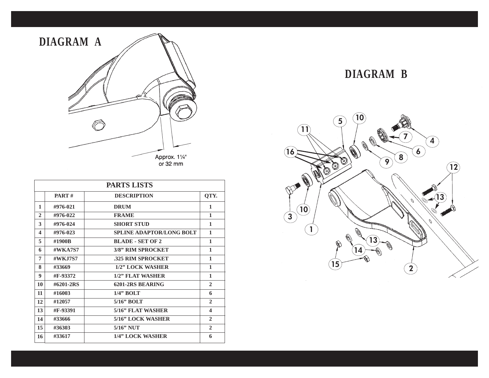

| <b>PARTS LISTS</b> |              |                                 |              |
|--------------------|--------------|---------------------------------|--------------|
|                    | <b>PART#</b> | <b>DESCRIPTION</b>              | QTY.         |
| 1                  | #976-021     | <b>DRUM</b>                     | 1            |
| $\mathbf{2}$       | #976-022     | <b>FRAME</b>                    | 1            |
| 3                  | #976-024     | <b>SHORT STUD</b>               | 1            |
| 4                  | #976-023     | <b>SPLINE ADAPTOR/LONG BOLT</b> | 1            |
| 5                  | #1900B       | <b>BLADE - SET OF 2</b>         | 1            |
| 6                  | $\#$ WKA7S7  | 3/8" RIM SPROCKET               | 1            |
| 7                  | #WK.I7S7     | .325 RIM SPROCKET               | 1            |
| 8                  | #33669       | 1/2" LOCK WASHER                | 1            |
| 9                  | #F-93372     | 1/2" FLAT WASHER                | 1            |
| 10                 | #6201-2RS    | 6201-2RS BEARING                | $\mathbf{2}$ |
| 11                 | #16003       | $1/4$ " BOLT                    | 6            |
| 12                 | #12057       | $5/16$ " BOLT                   | $\mathbf{2}$ |
| 13                 | #F-93391     | 5/16" FLAT WASHER               | 4            |
| 14                 | #33666       | 5/16" LOCK WASHER               | $\mathbf{2}$ |
| 15                 | #36303       | $5/16$ " NUT                    | $\mathbf{2}$ |
| 16                 | #33617       | 1/4" LOCK WASHER                | 6            |

#### **DIAGRAM B**